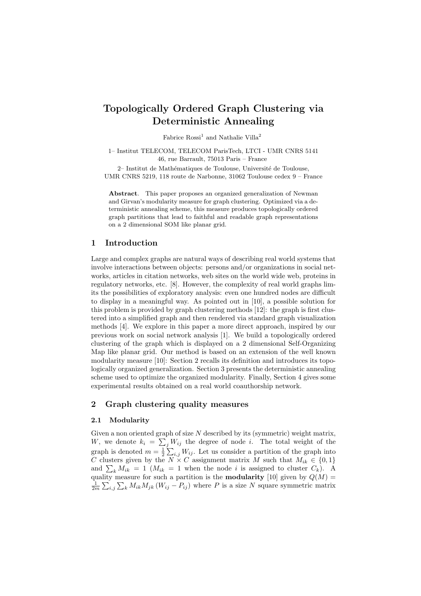# Topologically Ordered Graph Clustering via Deterministic Annealing

Fabrice  $Rossi<sup>1</sup>$  and Nathalie Villa<sup>2</sup>

1– Institut TELECOM, TELECOM ParisTech, LTCI - UMR CNRS 5141 46, rue Barrault, 75013 Paris – France

2– Institut de Mathématiques de Toulouse, Université de Toulouse, UMR CNRS 5219, 118 route de Narbonne, 31062 Toulouse cedex 9 – France

Abstract. This paper proposes an organized generalization of Newman and Girvan's modularity measure for graph clustering. Optimized via a deterministic annealing scheme, this measure produces topologically ordered graph partitions that lead to faithful and readable graph representations on a 2 dimensional SOM like planar grid.

## 1 Introduction

Large and complex graphs are natural ways of describing real world systems that involve interactions between objects: persons and/or organizations in social networks, articles in citation networks, web sites on the world wide web, proteins in regulatory networks, etc. [8]. However, the complexity of real world graphs limits the possibilities of exploratory analysis: even one hundred nodes are difficult to display in a meaningful way. As pointed out in [10], a possible solution for this problem is provided by graph clustering methods [12]: the graph is first clustered into a simplified graph and then rendered via standard graph visualization methods [4]. We explore in this paper a more direct approach, inspired by our previous work on social network analysis [1]. We build a topologically ordered clustering of the graph which is displayed on a 2 dimensional Self-Organizing Map like planar grid. Our method is based on an extension of the well known modularity measure [10]: Section 2 recalls its definition and introduces its topologically organized generalization. Section 3 presents the deterministic annealing scheme used to optimize the organized modularity. Finally, Section 4 gives some experimental results obtained on a real world coauthorship network.

### 2 Graph clustering quality measures

#### 2.1 Modularity

Given a non oriented graph of size  $N$  described by its (symmetric) weight matrix, W, we denote  $k_i = \sum_j W_{ij}$  the degree of node i. The total weight of the graph is denoted  $m = \frac{1}{2}$  $\sum_{i,j} W_{ij}$  life degree of hode i. The total weight of the  $\sum_{i,j} W_{ij}$ . Let us consider a partition of the graph into C clusters given by the  $N \times C$  assignment matrix M such that  $M_{ik} \in \{0,1\}$ C clusters given by the *N* × C assignment matrix *M* such that  $M_{ik} \in \{0, 1\}$ <br>and  $\sum_k M_{ik} = 1$  ( $M_{ik} = 1$  when the node *i* is assigned to cluster  $C_k$ ). A quality measure for such a partition is the **modularity** [10] given by  $Q(M) =$  $\frac{1}{2m} \sum_{i,j} \sum_k M_{ik} M_{jk} (W_{ij} - P_{ij})$  where P is a size N square symmetric matrix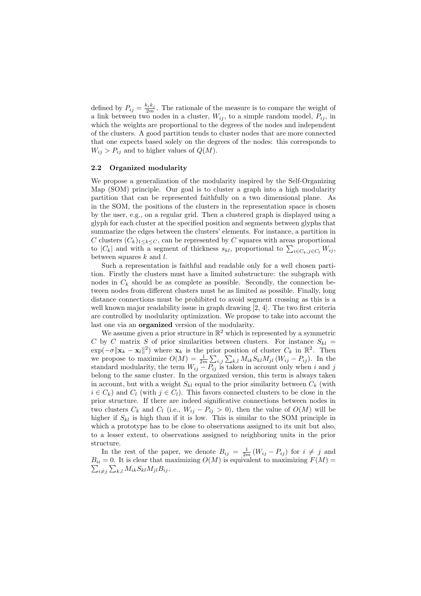defined by  $P_{ij} = \frac{k_i k_j}{2m}$ . The rationale of the measure is to compare the weight of a link between two nodes in a cluster,  $W_{ij}$ , to a simple random model,  $P_{ij}$ , in which the weights are proportional to the degrees of the nodes and independent of the clusters. A good partition tends to cluster nodes that are more connected that one expects based solely on the degrees of the nodes: this corresponds to  $W_{ij} > P_{ij}$  and to higher values of  $Q(M)$ .

### 2.2 Organized modularity

We propose a generalization of the modularity inspired by the Self-Organizing Map (SOM) principle. Our goal is to cluster a graph into a high modularity partition that can be represented faithfully on a two dimensional plane. As in the SOM, the positions of the clusters in the representation space is chosen by the user, e.g., on a regular grid. Then a clustered graph is displayed using a glyph for each cluster at the specified position and segments between glyphs that summarize the edges between the clusters' elements. For instance, a partition in C clusters  $(C_k)_{1\leq k\leq C}$ , can be represented by C squares with areas proportional to  $|C_k|$  and with a segment of thickness  $s_{kl}$ , proportional to  $\sum_{i\in C_k, j\in C_l} W_{ij}$ , between squares  $k$  and  $l$ .

Such a representation is faithful and readable only for a well chosen partition. Firstly the clusters must have a limited substructure: the subgraph with nodes in  $C_k$  should be as complete as possible. Secondly, the connection between nodes from different clusters must be as limited as possible. Finally, long distance connections must be prohibited to avoid segment crossing as this is a well known major readability issue in graph drawing [2, 4]. The two first criteria are controlled by modularity optimization. We propose to take into account the last one via an organized version of the modularity.

We assume given a prior structure in  $\mathbb{R}^2$  which is represented by a symmetric C by C matrix S of prior similarities between clusters. For instance  $S_{kl}$  =  $\exp(-\sigma ||\mathbf{x}_k - \mathbf{x}_l||^2)$  where  $\mathbf{x}_k$  is the prior position of cluster  $C_k$  in  $\mathbb{R}^2$ . Then we propose to maximize  $O(M) = \frac{1}{2m} \sum_{i,j} \sum_{k,l} M_{ik} S_{kl} M_{jl} (W_{ij} - P_{ij}).$  In the standard modularity, the term  $W_{ij} - P_{ij}$  is taken in account only when i and j belong to the same cluster. In the organized version, this term is always taken in account, but with a weight  $S_{kl}$  equal to the prior similarity between  $C_k$  (with  $i \in C_k$ ) and  $C_l$  (with  $j \in C_l$ ). This favors connected clusters to be close in the prior structure. If there are indeed significative connections between nodes in two clusters  $C_k$  and  $C_l$  (i.e.,  $W_{ij} - P_{ij} > 0$ ), then the value of  $O(M)$  will be higher if  $S_{kl}$  is high than if it is low. This is similar to the SOM principle in which a prototype has to be close to observations assigned to its unit but also, to a lesser extent, to observations assigned to neighboring units in the prior structure.

In the rest of the paper, we denote  $B_{ij} = \frac{1}{2m} (W_{ij} - P_{ij})$  for  $i \neq j$  and  $B_{ii} = 0$ . It is clear that maximizing  $O(M)$  is equivalent to maximizing  $F(M) =$  $_{i\neq j}\sum_{k,l}M_{ik}S_{kl}M_{jl}B_{ij}.$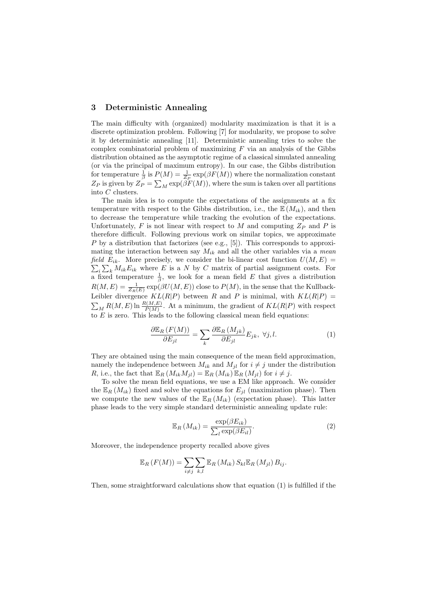### 3 Deterministic Annealing

The main difficulty with (organized) modularity maximization is that it is a discrete optimization problem. Following [7] for modularity, we propose to solve it by deterministic annealing [11]. Deterministic annealing tries to solve the complex combinatorial problem of maximizing  $F$  via an analysis of the Gibbs distribution obtained as the asymptotic regime of a classical simulated annealing (or via the principal of maximum entropy). In our case, the Gibbs distribution for temperature  $\frac{1}{\beta}$  is  $P(M) = \frac{1}{Z_P} \exp(\beta F(M))$  where the normalization constant  $Z_P$  is given by  $Z_P = \sum_M \exp(\beta F(M))$ , where the sum is taken over all partitions into C clusters.

The main idea is to compute the expectations of the assignments at a fix temperature with respect to the Gibbs distribution, i.e., the  $\mathbb{E}(M_{ik})$ , and then to decrease the temperature while tracking the evolution of the expectations. Unfortunately, F is not linear with respect to M and computing  $Z_P$  and P is therefore difficult. Following previous work on similar topics, we approximate P by a distribution that factorizes (see e.g., [5]). This corresponds to approximating the interaction between say  $M_{ik}$  and all the other variables via a mean field  $E_{ik}$ . More precisely, we consider the bi-linear cost function  $U(M, E)$  $\sum_k M_{ik}E_{ik}$  where E is a N by C matrix of partial assignment costs. For a fixed temperature  $\frac{1}{\beta}$ , we look for a mean field E that gives a distribution  $R(M, E) = \frac{1}{Z_R(E)} \exp(\beta U(M, E))$  close to  $P(M)$ , in the sense that the Kullback-Leibler divergence  $KL(R|P)$  between R and P is minimal, with  $KL(R|P)$  = Exhibit divergence  $K L(R|F)$  between  $R$  and  $P$  is minimal, with  $KL(R|F) =$ <br> $\sum_{M} R(M, E) \ln \frac{R(M, E)}{P(M)}$ . At a minimum, the gradient of  $KL(R|P)$  with respect to  $E$  is zero. This leads to the following classical mean field equations:

$$
\frac{\partial \mathbb{E}_R \left( F(M) \right)}{\partial E_{jl}} = \sum_k \frac{\partial \mathbb{E}_R \left( M_{jk} \right)}{\partial E_{jl}} E_{jk}, \ \forall j, l. \tag{1}
$$

They are obtained using the main consequence of the mean field approximation, namely the independence between  $M_{ik}$  and  $M_{jl}$  for  $i \neq j$  under the distribution R, i.e., the fact that  $\mathbb{E}_R (M_{ik}M_{jl}) = \mathbb{E}_R (M_{ik}) \mathbb{E}_R (M_{jl})$  for  $i \neq j$ .

To solve the mean field equations, we use a EM like approach. We consider the  $\mathbb{E}_R(M_{ik})$  fixed and solve the equations for  $E_{jl}$  (maximization phase). Then we compute the new values of the  $\mathbb{E}_R(M_{ik})$  (expectation phase). This latter phase leads to the very simple standard deterministic annealing update rule:

$$
\mathbb{E}_R\left(M_{ik}\right) = \frac{\exp(\beta E_{ik})}{\sum_l \exp(\beta E_{il})}.\tag{2}
$$

Moreover, the independence property recalled above gives

$$
\mathbb{E}_R(F(M)) = \sum_{i \neq j} \sum_{k,l} \mathbb{E}_R(M_{ik}) S_{kl} \mathbb{E}_R(M_{jl}) B_{ij}.
$$

Then, some straightforward calculations show that equation (1) is fulfilled if the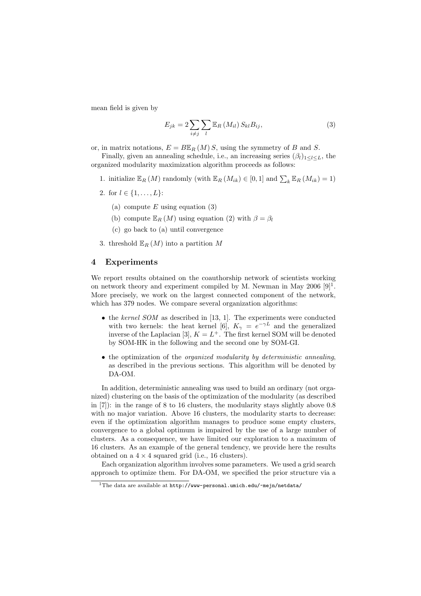mean field is given by

$$
E_{jk} = 2\sum_{i \neq j} \sum_{l} \mathbb{E}_{R} \left( M_{il} \right) S_{kl} B_{ij}, \tag{3}
$$

or, in matrix notations,  $E = B\mathbb{E}_R(M)S$ , using the symmetry of B and S.

Finally, given an annealing schedule, i.e., an increasing series  $(\beta_l)_{1\leq l\leq L}$ , the organized modularity maximization algorithm proceeds as follows:

- 1. initialize  $\mathbb{E}_R(M)$  randomly (with  $\mathbb{E}_R(M_{ik}) \in [0,1]$  and  $\sum_k \mathbb{E}_R(M_{ik}) = 1$ )
- 2. for  $l \in \{1, \ldots, L\}$ :
	- (a) compute E using equation  $(3)$
	- (b) compute  $\mathbb{E}_R(M)$  using equation (2) with  $\beta = \beta_l$
	- (c) go back to (a) until convergence

3. threshold  $\mathbb{E}_R (M)$  into a partition M

### 4 Experiments

We report results obtained on the coauthorship network of scientists working on network theory and experiment compiled by M. Newman in May  $2006$  [9]<sup>1</sup>. More precisely, we work on the largest connected component of the network, which has 379 nodes. We compare several organization algorithms:

- the kernel SOM as described in [13, 1]. The experiments were conducted with two kernels: the heat kernel [6],  $K_{\gamma} = e^{-\gamma L}$  and the generalized inverse of the Laplacian [3],  $K = L^+$ . The first kernel SOM will be denoted by SOM-HK in the following and the second one by SOM-GI.
- the optimization of the *organized modularity by deterministic annealing*, as described in the previous sections. This algorithm will be denoted by DA-OM.

In addition, deterministic annealing was used to build an ordinary (not organized) clustering on the basis of the optimization of the modularity (as described in  $[7]$ : in the range of 8 to 16 clusters, the modularity stays slightly above 0.8 with no major variation. Above 16 clusters, the modularity starts to decrease: even if the optimization algorithm manages to produce some empty clusters, convergence to a global optimum is impaired by the use of a large number of clusters. As a consequence, we have limited our exploration to a maximum of 16 clusters. As an example of the general tendency, we provide here the results obtained on a  $4 \times 4$  squared grid (i.e., 16 clusters).

Each organization algorithm involves some parameters. We used a grid search approach to optimize them. For DA-OM, we specified the prior structure via a

<sup>&</sup>lt;sup>1</sup>The data are available at  $\frac{1}{2}$  http://www-personal.umich.edu/~mejn/netdata/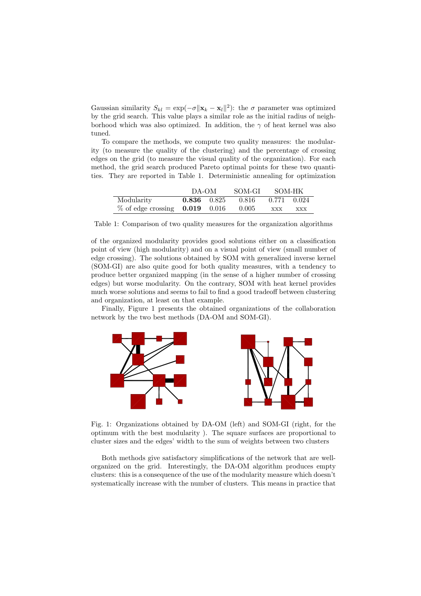Gaussian similarity  $S_{kl} = \exp(-\sigma ||\mathbf{x}_k - \mathbf{x}_l||^2)$ : the  $\sigma$  parameter was optimized by the grid search. This value plays a similar role as the initial radius of neighborhood which was also optimized. In addition, the  $\gamma$  of heat kernel was also tuned.

To compare the methods, we compute two quality measures: the modularity (to measure the quality of the clustering) and the percentage of crossing edges on the grid (to measure the visual quality of the organization). For each method, the grid search produced Pareto optimal points for these two quantities. They are reported in Table 1. Deterministic annealing for optimization

|                                             | DA-OM           |  | SOM-GI    | - SOM-HK    |     |
|---------------------------------------------|-----------------|--|-----------|-------------|-----|
| Modularity                                  | $0.836$ $0.825$ |  | - 0.816 - | 0.771 0.024 |     |
| $\%$ of edge crossing $\,$ 0.019 $\,$ 0.016 |                 |  | 0.005     | <b>XXX</b>  | XXX |

Table 1: Comparison of two quality measures for the organization algorithms

of the organized modularity provides good solutions either on a classification point of view (high modularity) and on a visual point of view (small number of edge crossing). The solutions obtained by SOM with generalized inverse kernel (SOM-GI) are also quite good for both quality measures, with a tendency to produce better organized mapping (in the sense of a higher number of crossing edges) but worse modularity. On the contrary, SOM with heat kernel provides much worse solutions and seems to fail to find a good tradeoff between clustering and organization, at least on that example.

Finally, Figure 1 presents the obtained organizations of the collaboration network by the two best methods (DA-OM and SOM-GI).



Fig. 1: Organizations obtained by DA-OM (left) and SOM-GI (right, for the optimum with the best modularity ). The square surfaces are proportional to cluster sizes and the edges' width to the sum of weights between two clusters

Both methods give satisfactory simplifications of the network that are wellorganized on the grid. Interestingly, the DA-OM algorithm produces empty clusters: this is a consequence of the use of the modularity measure which doesn't systematically increase with the number of clusters. This means in practice that